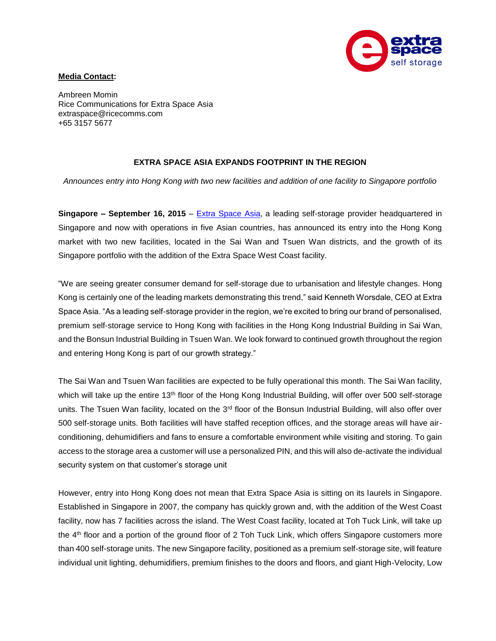

## **Media Contact:**

Ambreen Momin Rice Communications for Extra Space Asia extraspace@ricecomms.com +65 3157 5677

## **EXTRA SPACE ASIA EXPANDS FOOTPRINT IN THE REGION**

*Announces entry into Hong Kong with two new facilities and addition of one facility to Singapore portfolio*

**Singapore – September 16, 2015** – [Extra Space](http://www.extraspaceasia.com/) Asia, a leading self-storage provider headquartered in Singapore and now with operations in five Asian countries, has announced its entry into the Hong Kong market with two new facilities, located in the Sai Wan and Tsuen Wan districts, and the growth of its Singapore portfolio with the addition of the Extra Space West Coast facility.

"We are seeing greater consumer demand for self-storage due to urbanisation and lifestyle changes. Hong Kong is certainly one of the leading markets demonstrating this trend," said Kenneth Worsdale, CEO at Extra Space Asia. "As a leading self-storage provider in the region, we're excited to bring our brand of personalised, premium self-storage service to Hong Kong with facilities in the Hong Kong Industrial Building in Sai Wan, and the Bonsun Industrial Building in Tsuen Wan. We look forward to continued growth throughout the region and entering Hong Kong is part of our growth strategy."

The Sai Wan and Tsuen Wan facilities are expected to be fully operational this month. The Sai Wan facility, which will take up the entire 13<sup>th</sup> floor of the Hong Kong Industrial Building, will offer over 500 self-storage units. The Tsuen Wan facility, located on the 3<sup>rd</sup> floor of the Bonsun Industrial Building, will also offer over 500 self-storage units. Both facilities will have staffed reception offices, and the storage areas will have airconditioning, dehumidifiers and fans to ensure a comfortable environment while visiting and storing. To gain access to the storage area a customer will use a personalized PIN, and this will also de-activate the individual security system on that customer's storage unit

However, entry into Hong Kong does not mean that Extra Space Asia is sitting on its laurels in Singapore. Established in Singapore in 2007, the company has quickly grown and, with the addition of the West Coast facility, now has 7 facilities across the island. The West Coast facility, located at Toh Tuck Link, will take up the 4th floor and a portion of the ground floor of 2 Toh Tuck Link, which offers Singapore customers more than 400 self-storage units. The new Singapore facility, positioned as a premium self-storage site, will feature individual unit lighting, dehumidifiers, premium finishes to the doors and floors, and giant High-Velocity, Low